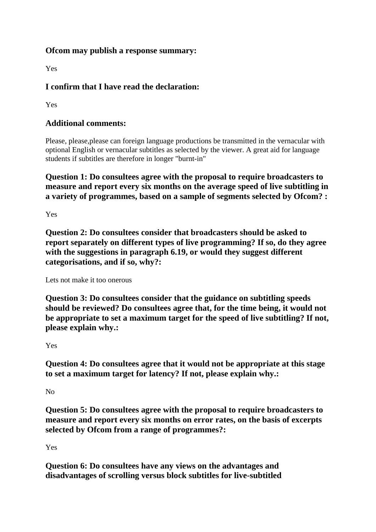## **Ofcom may publish a response summary:**

Yes

## **I confirm that I have read the declaration:**

Yes

## **Additional comments:**

Please, please,please can foreign language productions be transmitted in the vernacular with optional English or vernacular subtitles as selected by the viewer. A great aid for language students if subtitles are therefore in longer "burnt-in"

**Question 1: Do consultees agree with the proposal to require broadcasters to measure and report every six months on the average speed of live subtitling in a variety of programmes, based on a sample of segments selected by Ofcom? :**

Yes

**Question 2: Do consultees consider that broadcasters should be asked to report separately on different types of live programming? If so, do they agree with the suggestions in paragraph 6.19, or would they suggest different categorisations, and if so, why?:**

Lets not make it too onerous

**Question 3: Do consultees consider that the guidance on subtitling speeds should be reviewed? Do consultees agree that, for the time being, it would not be appropriate to set a maximum target for the speed of live subtitling? If not, please explain why.:**

Yes

**Question 4: Do consultees agree that it would not be appropriate at this stage to set a maximum target for latency? If not, please explain why.:**

No

**Question 5: Do consultees agree with the proposal to require broadcasters to measure and report every six months on error rates, on the basis of excerpts selected by Ofcom from a range of programmes?:**

Yes

**Question 6: Do consultees have any views on the advantages and disadvantages of scrolling versus block subtitles for live-subtitled**